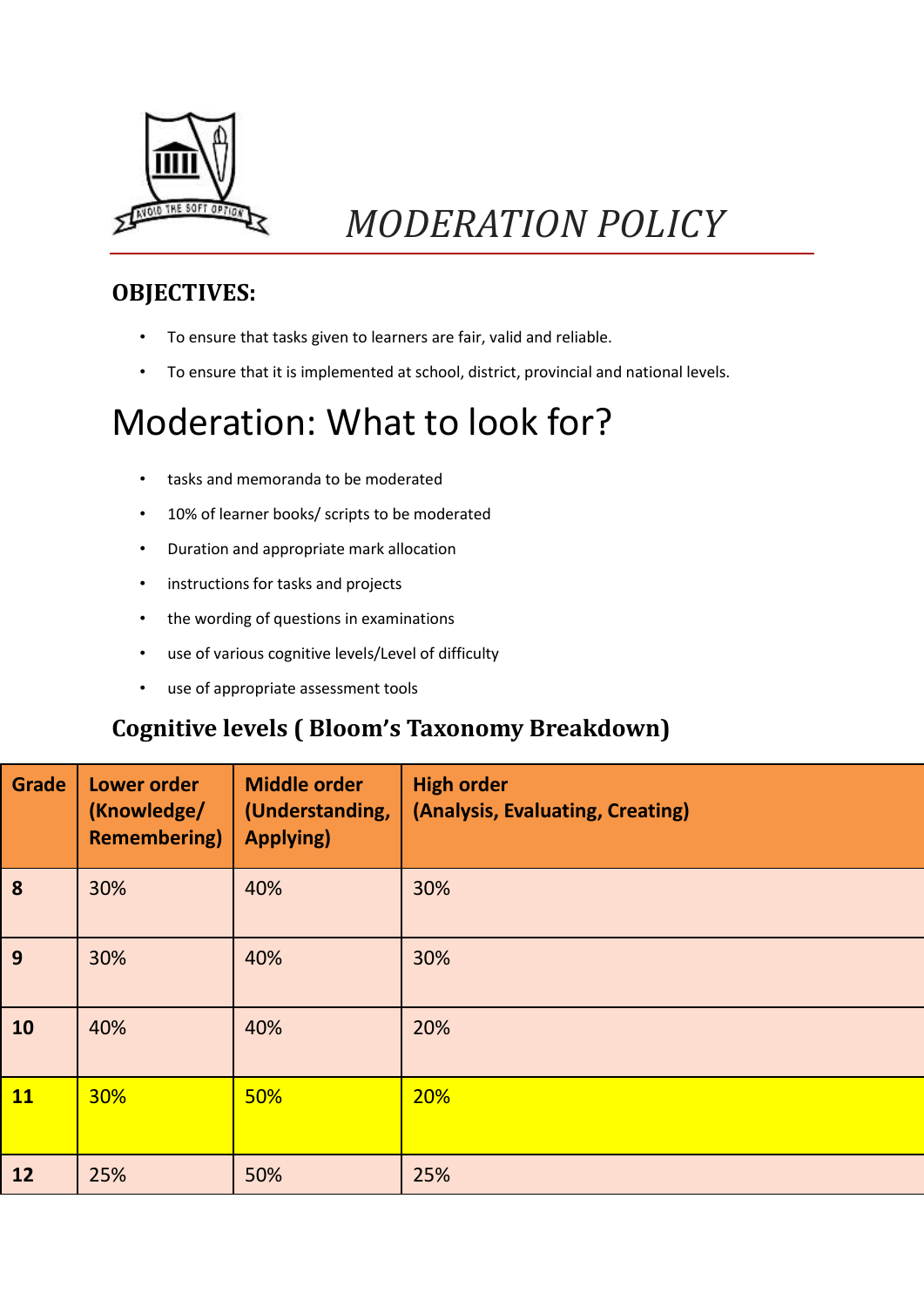

## *MODERATION POLICY*

#### **OBJECTIVES:**

- To ensure that tasks given to learners are fair, valid and reliable.
- To ensure that it is implemented at school, district, provincial and national levels.

### Moderation: What to look for?

- tasks and memoranda to be moderated
- 10% of learner books/ scripts to be moderated
- Duration and appropriate mark allocation
- instructions for tasks and projects
- the wording of questions in examinations
- use of various cognitive levels/Level of difficulty
- use of appropriate assessment tools

#### **Cognitive levels ( Bloom's Taxonomy Breakdown)**

| <b>Grade</b> | <b>Lower order</b><br>(Knowledge/<br><b>Remembering</b> ) | <b>Middle order</b><br>(Understanding,<br><b>Applying)</b> | <b>High order</b><br>(Analysis, Evaluating, Creating) |
|--------------|-----------------------------------------------------------|------------------------------------------------------------|-------------------------------------------------------|
| 8            | 30%                                                       | 40%                                                        | 30%                                                   |
| 9            | 30%                                                       | 40%                                                        | 30%                                                   |
| 10           | 40%                                                       | 40%                                                        | 20%                                                   |
| <b>11</b>    | <b>30%</b>                                                | 50%                                                        | 20%                                                   |
| 12           | 25%                                                       | 50%                                                        | 25%                                                   |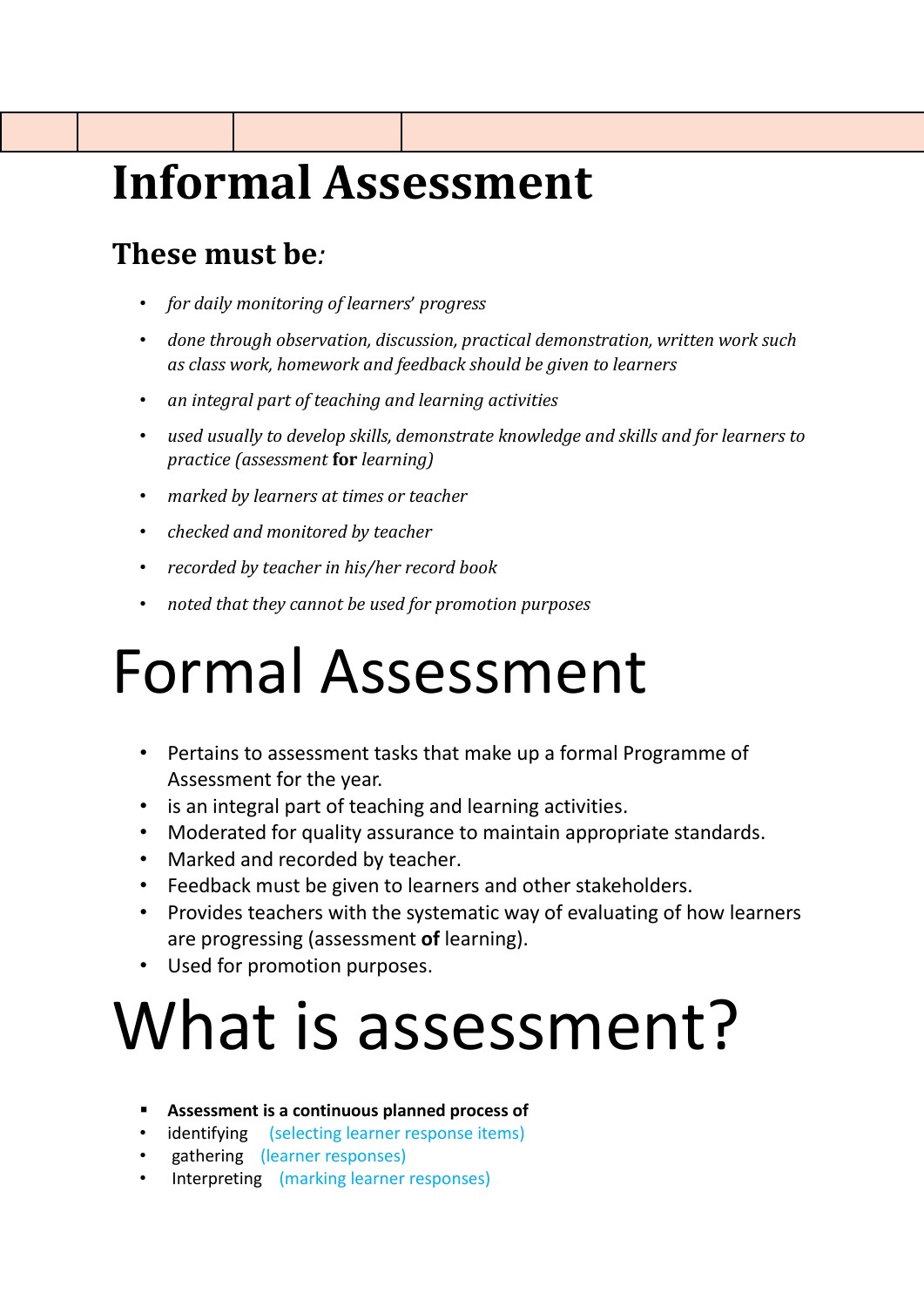## **Informal Assessment**

### **These must be***:*

- *for daily monitoring of learners*' *progress*
- *done through observation, discussion, practical demonstration, written work such as class work, homework and feedback should be given to learners*
- *an integral part of teaching and learning activities*
- *used usually to develop skills, demonstrate knowledge and skills and for learners to practice (assessment* **for** *learning)*
- *marked by learners at times or teacher*
- *checked and monitored by teacher*
- *recorded by teacher in his/her record book*
- *noted that they cannot be used for promotion purposes*

# Formal Assessment

- Pertains to assessment tasks that make up a formal Programme of Assessment for the year.
- is an integral part of teaching and learning activities.
- Moderated for quality assurance to maintain appropriate standards.
- Marked and recorded by teacher.
- Feedback must be given to learners and other stakeholders.
- Provides teachers with the systematic way of evaluating of how learners are progressing (assessment **of** learning).
- Used for promotion purposes.

# What is assessment?

- **Assessment is a continuous planned process of**
- identifying (selecting learner response items)
- gathering (learner responses)
- Interpreting (marking learner responses)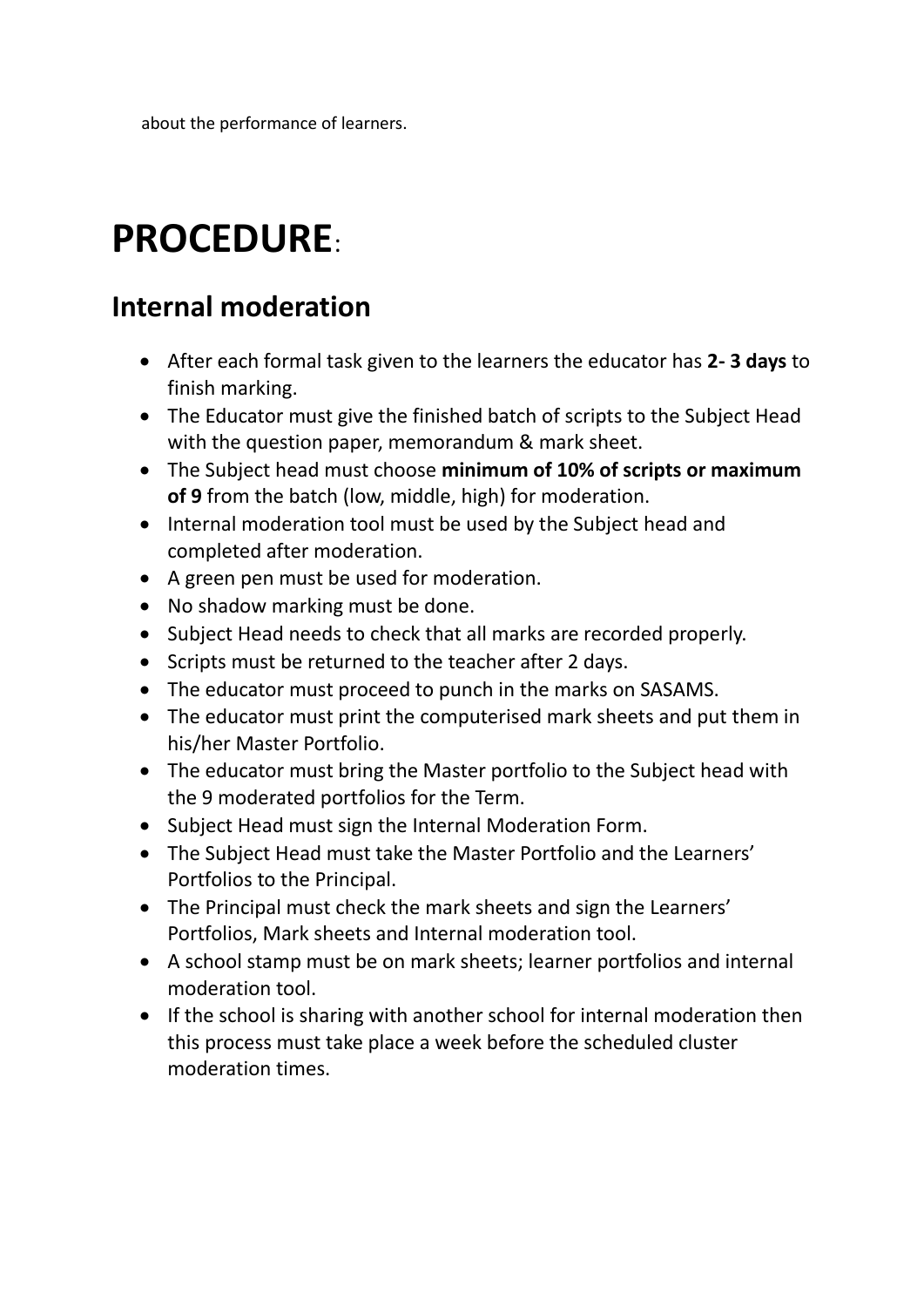about the performance of learners.

## **PROCEDURE**:

#### **Internal moderation**

- After each formal task given to the learners the educator has **2- 3 days** to finish marking.
- The Educator must give the finished batch of scripts to the Subject Head with the question paper, memorandum & mark sheet.
- The Subject head must choose **minimum of 10% of scripts or maximum of 9** from the batch (low, middle, high) for moderation.
- Internal moderation tool must be used by the Subject head and completed after moderation.
- A green pen must be used for moderation.
- No shadow marking must be done.
- Subject Head needs to check that all marks are recorded properly.
- Scripts must be returned to the teacher after 2 days.
- The educator must proceed to punch in the marks on SASAMS.
- The educator must print the computerised mark sheets and put them in his/her Master Portfolio.
- The educator must bring the Master portfolio to the Subject head with the 9 moderated portfolios for the Term.
- Subject Head must sign the Internal Moderation Form.
- The Subject Head must take the Master Portfolio and the Learners' Portfolios to the Principal.
- The Principal must check the mark sheets and sign the Learners' Portfolios, Mark sheets and Internal moderation tool.
- A school stamp must be on mark sheets; learner portfolios and internal moderation tool.
- If the school is sharing with another school for internal moderation then this process must take place a week before the scheduled cluster moderation times.